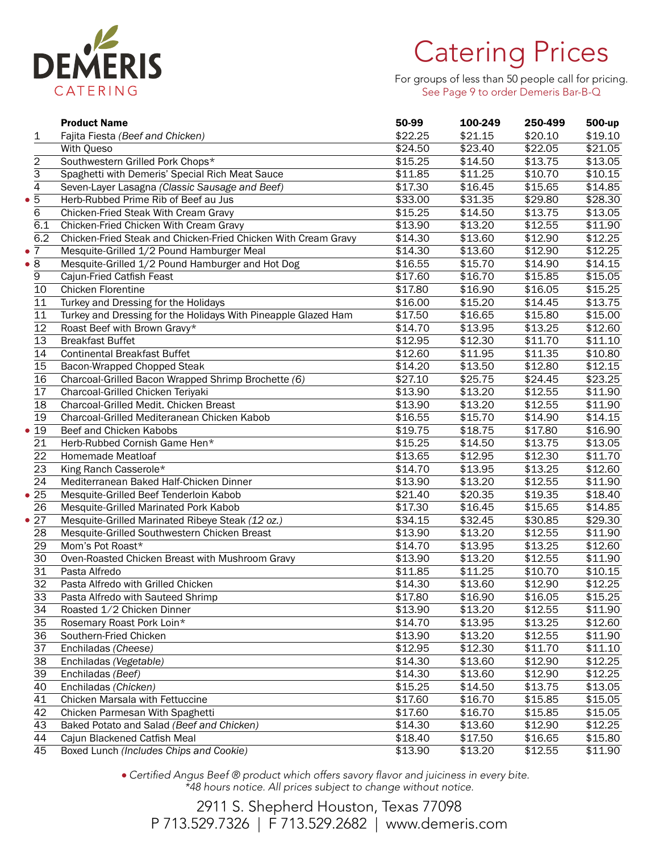

## Catering Prices

For groups of less than 50 people call for pricing. See Page 9 to order Demeris Bar-B-Q

| \$22.25<br>\$19.10<br>\$21.15<br>\$20.10<br>Fajita Fiesta (Beef and Chicken)<br>1<br>\$22.05<br>\$21.05<br>With Queso<br>\$24.50<br>\$23.40<br>2<br>Southwestern Grilled Pork Chops*<br>\$15.25<br>\$14.50<br>\$13.75<br>\$13.05<br>$\overline{3}$<br>\$10.15<br>Spaghetti with Demeris' Special Rich Meat Sauce<br>\$11.85<br>\$11.25<br>\$10.70<br>$\overline{4}$<br>\$14.85<br>Seven-Layer Lasagna (Classic Sausage and Beef)<br>\$17.30<br>\$16.45<br>\$15.65<br>Herb-Rubbed Prime Rib of Beef au Jus<br>\$33.00<br>\$28.30<br>\$31.35<br>\$29.80<br>6<br>\$13.05<br>Chicken-Fried Steak With Cream Gravy<br>\$15.25<br>\$14.50<br>\$13.75<br>6.1<br>\$13.90<br>\$13.20<br>\$12.55<br>\$11.90<br>Chicken-Fried Chicken With Cream Gravy<br>6.2<br>\$12.25<br>\$13.60<br>\$12.90<br>Chicken-Fried Steak and Chicken-Fried Chicken With Cream Gravy<br>\$14.30<br>\$12.25<br>Mesquite-Grilled 1/2 Pound Hamburger Meal<br>\$14.30<br>\$13.60<br>\$12.90<br>Mesquite-Grilled 1/2 Pound Hamburger and Hot Dog<br>\$14.15<br>\$16.55<br>\$15.70<br>\$14.90<br>\$17.60<br>\$16.70<br>\$15.05<br>$\boldsymbol{9}$<br>Cajun-Fried Catfish Feast<br>\$15.85<br>Chicken Florentine<br>\$17.80<br>\$15.25<br>\$16.90<br>\$16.05<br>10<br>11<br>\$13.75<br>Turkey and Dressing for the Holidays<br>\$16.00<br>\$15.20<br>\$14.45<br>11<br>Turkey and Dressing for the Holidays With Pineapple Glazed Ham<br>\$17.50<br>\$15.00<br>\$16.65<br>\$15.80<br>$\overline{12}$<br>\$14.70<br>\$12.60<br>Roast Beef with Brown Gravy*<br>\$13.95<br>\$13.25<br>13<br>\$12.95<br>\$11.10<br><b>Breakfast Buffet</b><br>\$12.30<br>\$11.70<br>14<br>\$12.60<br>\$10.80<br><b>Continental Breakfast Buffet</b><br>\$11.95<br>\$11.35<br>15<br>\$12.15<br>Bacon-Wrapped Chopped Steak<br>\$14.20<br>\$13.50<br>\$12.80<br>16<br>\$23.25<br>Charcoal-Grilled Bacon Wrapped Shrimp Brochette (6)<br>\$27.10<br>\$25.75<br>\$24.45<br>17<br>\$13.20<br>Charcoal-Grilled Chicken Teriyaki<br>\$13.90<br>\$12.55<br>\$11.90<br>18<br>Charcoal-Grilled Medit. Chicken Breast<br>\$13.90<br>\$13.20<br>\$12.55<br>\$11.90<br>19<br>Charcoal-Grilled Mediteranean Chicken Kabob<br>\$16.55<br>\$15.70<br>\$14.90<br>\$14.15<br>• 19<br>Beef and Chicken Kabobs<br>\$19.75<br>\$18.75<br>\$17.80<br>\$16.90<br>21<br>\$13.05<br>Herb-Rubbed Cornish Game Hen*<br>\$15.25<br>\$14.50<br>\$13.75<br>22<br>\$13.65<br>\$12.95<br>\$12.30<br>\$11.70<br>Homemade Meatloaf<br>23<br>\$12.60<br>King Ranch Casserole*<br>\$14.70<br>\$13.95<br>\$13.25<br>24<br>Mediterranean Baked Half-Chicken Dinner<br>\$13.90<br>\$13.20<br>\$12.55<br>\$11.90<br>\$18.40<br>$\bullet$ 25<br>Mesquite-Grilled Beef Tenderloin Kabob<br>\$21.40<br>\$20.35<br>\$19.35<br>\$16.45<br>26<br>Mesquite-Grilled Marinated Pork Kabob<br>\$17.30<br>\$15.65<br>\$14.85<br>Mesquite-Grilled Marinated Ribeye Steak (12 oz.)<br>•27<br>\$34.15<br>\$32.45<br>\$30.85<br>\$29.30<br>28<br>Mesquite-Grilled Southwestern Chicken Breast<br>\$13.90<br>\$13.20<br>\$12.55<br>\$11.90<br>29<br>Mom's Pot Roast*<br>\$14.70<br>\$13.95<br>\$13.25<br>\$12.60<br>30<br>Oven-Roasted Chicken Breast with Mushroom Gravy<br>\$13.90<br>\$13.20<br>\$12.55<br>\$11.90<br>31<br>Pasta Alfredo<br>\$11.85<br>\$11.25<br>\$10.70<br>\$10.15<br>32<br>\$12.25<br>Pasta Alfredo with Grilled Chicken<br>\$14.30<br>\$13.60<br>\$12.90<br>33<br>\$15.25<br>\$17.80<br>\$16.90<br>\$16.05<br>Pasta Alfredo with Sauteed Shrimp<br>Roasted 1/2 Chicken Dinner<br>\$13.90<br>\$13.20<br>\$12.55<br>\$11.90<br>34<br>35<br>\$12.60<br>Rosemary Roast Pork Loin*<br>\$14.70<br>\$13.95<br>\$13.25<br>36<br>\$13.90<br>\$13.20<br>Southern-Fried Chicken<br>\$12.55<br>\$11.90<br>37<br>Enchiladas (Cheese)<br>\$12.95<br>\$12.30<br>\$11.70<br>\$11.10<br>38<br>Enchiladas (Vegetable)<br>\$14.30<br>\$13.60<br>\$12.90<br>\$12.25<br>39<br>Enchiladas (Beef)<br>\$14.30<br>\$13.60<br>\$12.90<br>\$12.25<br>40<br>\$15.25<br>Enchiladas (Chicken)<br>\$14.50<br>\$13.75<br>\$13.05<br>41<br>Chicken Marsala with Fettuccine<br>\$17.60<br>\$16.70<br>\$15.85<br>\$15.05<br>42<br>Chicken Parmesan With Spaghetti<br>\$17.60<br>\$16.70<br>\$15.85<br>\$15.05<br>43<br>Baked Potato and Salad (Beef and Chicken)<br>\$14.30<br>\$13.60<br>\$12.90<br>\$12.25<br>44<br>Cajun Blackened Catfish Meal<br>\$18.40<br>\$17.50<br>\$16.65<br>\$15.80 |             | <b>Product Name</b>                     | 50-99   | 100-249 | 250-499 | 500-up  |
|---------------------------------------------------------------------------------------------------------------------------------------------------------------------------------------------------------------------------------------------------------------------------------------------------------------------------------------------------------------------------------------------------------------------------------------------------------------------------------------------------------------------------------------------------------------------------------------------------------------------------------------------------------------------------------------------------------------------------------------------------------------------------------------------------------------------------------------------------------------------------------------------------------------------------------------------------------------------------------------------------------------------------------------------------------------------------------------------------------------------------------------------------------------------------------------------------------------------------------------------------------------------------------------------------------------------------------------------------------------------------------------------------------------------------------------------------------------------------------------------------------------------------------------------------------------------------------------------------------------------------------------------------------------------------------------------------------------------------------------------------------------------------------------------------------------------------------------------------------------------------------------------------------------------------------------------------------------------------------------------------------------------------------------------------------------------------------------------------------------------------------------------------------------------------------------------------------------------------------------------------------------------------------------------------------------------------------------------------------------------------------------------------------------------------------------------------------------------------------------------------------------------------------------------------------------------------------------------------------------------------------------------------------------------------------------------------------------------------------------------------------------------------------------------------------------------------------------------------------------------------------------------------------------------------------------------------------------------------------------------------------------------------------------------------------------------------------------------------------------------------------------------------------------------------------------------------------------------------------------------------------------------------------------------------------------------------------------------------------------------------------------------------------------------------------------------------------------------------------------------------------------------------------------------------------------------------------------------------------------------------------------------------------------------------------------------------------------------------------------------------------------------------------------------------------------------------------------------------------------------------------------------------------------------------------------------------------------------------------------------------------------------------------------------------------------------------------------------------------------------------------------------------------------------------------------------------------------------------------------------------------------------------------------------------------------------------------------------------------------------|-------------|-----------------------------------------|---------|---------|---------|---------|
|                                                                                                                                                                                                                                                                                                                                                                                                                                                                                                                                                                                                                                                                                                                                                                                                                                                                                                                                                                                                                                                                                                                                                                                                                                                                                                                                                                                                                                                                                                                                                                                                                                                                                                                                                                                                                                                                                                                                                                                                                                                                                                                                                                                                                                                                                                                                                                                                                                                                                                                                                                                                                                                                                                                                                                                                                                                                                                                                                                                                                                                                                                                                                                                                                                                                                                                                                                                                                                                                                                                                                                                                                                                                                                                                                                                                                                                                                                                                                                                                                                                                                                                                                                                                                                                                                                                                                                     |             |                                         |         |         |         |         |
|                                                                                                                                                                                                                                                                                                                                                                                                                                                                                                                                                                                                                                                                                                                                                                                                                                                                                                                                                                                                                                                                                                                                                                                                                                                                                                                                                                                                                                                                                                                                                                                                                                                                                                                                                                                                                                                                                                                                                                                                                                                                                                                                                                                                                                                                                                                                                                                                                                                                                                                                                                                                                                                                                                                                                                                                                                                                                                                                                                                                                                                                                                                                                                                                                                                                                                                                                                                                                                                                                                                                                                                                                                                                                                                                                                                                                                                                                                                                                                                                                                                                                                                                                                                                                                                                                                                                                                     |             |                                         |         |         |         |         |
|                                                                                                                                                                                                                                                                                                                                                                                                                                                                                                                                                                                                                                                                                                                                                                                                                                                                                                                                                                                                                                                                                                                                                                                                                                                                                                                                                                                                                                                                                                                                                                                                                                                                                                                                                                                                                                                                                                                                                                                                                                                                                                                                                                                                                                                                                                                                                                                                                                                                                                                                                                                                                                                                                                                                                                                                                                                                                                                                                                                                                                                                                                                                                                                                                                                                                                                                                                                                                                                                                                                                                                                                                                                                                                                                                                                                                                                                                                                                                                                                                                                                                                                                                                                                                                                                                                                                                                     |             |                                         |         |         |         |         |
|                                                                                                                                                                                                                                                                                                                                                                                                                                                                                                                                                                                                                                                                                                                                                                                                                                                                                                                                                                                                                                                                                                                                                                                                                                                                                                                                                                                                                                                                                                                                                                                                                                                                                                                                                                                                                                                                                                                                                                                                                                                                                                                                                                                                                                                                                                                                                                                                                                                                                                                                                                                                                                                                                                                                                                                                                                                                                                                                                                                                                                                                                                                                                                                                                                                                                                                                                                                                                                                                                                                                                                                                                                                                                                                                                                                                                                                                                                                                                                                                                                                                                                                                                                                                                                                                                                                                                                     |             |                                         |         |         |         |         |
|                                                                                                                                                                                                                                                                                                                                                                                                                                                                                                                                                                                                                                                                                                                                                                                                                                                                                                                                                                                                                                                                                                                                                                                                                                                                                                                                                                                                                                                                                                                                                                                                                                                                                                                                                                                                                                                                                                                                                                                                                                                                                                                                                                                                                                                                                                                                                                                                                                                                                                                                                                                                                                                                                                                                                                                                                                                                                                                                                                                                                                                                                                                                                                                                                                                                                                                                                                                                                                                                                                                                                                                                                                                                                                                                                                                                                                                                                                                                                                                                                                                                                                                                                                                                                                                                                                                                                                     |             |                                         |         |         |         |         |
|                                                                                                                                                                                                                                                                                                                                                                                                                                                                                                                                                                                                                                                                                                                                                                                                                                                                                                                                                                                                                                                                                                                                                                                                                                                                                                                                                                                                                                                                                                                                                                                                                                                                                                                                                                                                                                                                                                                                                                                                                                                                                                                                                                                                                                                                                                                                                                                                                                                                                                                                                                                                                                                                                                                                                                                                                                                                                                                                                                                                                                                                                                                                                                                                                                                                                                                                                                                                                                                                                                                                                                                                                                                                                                                                                                                                                                                                                                                                                                                                                                                                                                                                                                                                                                                                                                                                                                     | $\bullet$ 5 |                                         |         |         |         |         |
|                                                                                                                                                                                                                                                                                                                                                                                                                                                                                                                                                                                                                                                                                                                                                                                                                                                                                                                                                                                                                                                                                                                                                                                                                                                                                                                                                                                                                                                                                                                                                                                                                                                                                                                                                                                                                                                                                                                                                                                                                                                                                                                                                                                                                                                                                                                                                                                                                                                                                                                                                                                                                                                                                                                                                                                                                                                                                                                                                                                                                                                                                                                                                                                                                                                                                                                                                                                                                                                                                                                                                                                                                                                                                                                                                                                                                                                                                                                                                                                                                                                                                                                                                                                                                                                                                                                                                                     |             |                                         |         |         |         |         |
|                                                                                                                                                                                                                                                                                                                                                                                                                                                                                                                                                                                                                                                                                                                                                                                                                                                                                                                                                                                                                                                                                                                                                                                                                                                                                                                                                                                                                                                                                                                                                                                                                                                                                                                                                                                                                                                                                                                                                                                                                                                                                                                                                                                                                                                                                                                                                                                                                                                                                                                                                                                                                                                                                                                                                                                                                                                                                                                                                                                                                                                                                                                                                                                                                                                                                                                                                                                                                                                                                                                                                                                                                                                                                                                                                                                                                                                                                                                                                                                                                                                                                                                                                                                                                                                                                                                                                                     |             |                                         |         |         |         |         |
|                                                                                                                                                                                                                                                                                                                                                                                                                                                                                                                                                                                                                                                                                                                                                                                                                                                                                                                                                                                                                                                                                                                                                                                                                                                                                                                                                                                                                                                                                                                                                                                                                                                                                                                                                                                                                                                                                                                                                                                                                                                                                                                                                                                                                                                                                                                                                                                                                                                                                                                                                                                                                                                                                                                                                                                                                                                                                                                                                                                                                                                                                                                                                                                                                                                                                                                                                                                                                                                                                                                                                                                                                                                                                                                                                                                                                                                                                                                                                                                                                                                                                                                                                                                                                                                                                                                                                                     |             |                                         |         |         |         |         |
|                                                                                                                                                                                                                                                                                                                                                                                                                                                                                                                                                                                                                                                                                                                                                                                                                                                                                                                                                                                                                                                                                                                                                                                                                                                                                                                                                                                                                                                                                                                                                                                                                                                                                                                                                                                                                                                                                                                                                                                                                                                                                                                                                                                                                                                                                                                                                                                                                                                                                                                                                                                                                                                                                                                                                                                                                                                                                                                                                                                                                                                                                                                                                                                                                                                                                                                                                                                                                                                                                                                                                                                                                                                                                                                                                                                                                                                                                                                                                                                                                                                                                                                                                                                                                                                                                                                                                                     | $\bullet$ 7 |                                         |         |         |         |         |
|                                                                                                                                                                                                                                                                                                                                                                                                                                                                                                                                                                                                                                                                                                                                                                                                                                                                                                                                                                                                                                                                                                                                                                                                                                                                                                                                                                                                                                                                                                                                                                                                                                                                                                                                                                                                                                                                                                                                                                                                                                                                                                                                                                                                                                                                                                                                                                                                                                                                                                                                                                                                                                                                                                                                                                                                                                                                                                                                                                                                                                                                                                                                                                                                                                                                                                                                                                                                                                                                                                                                                                                                                                                                                                                                                                                                                                                                                                                                                                                                                                                                                                                                                                                                                                                                                                                                                                     | $\bullet$ 8 |                                         |         |         |         |         |
|                                                                                                                                                                                                                                                                                                                                                                                                                                                                                                                                                                                                                                                                                                                                                                                                                                                                                                                                                                                                                                                                                                                                                                                                                                                                                                                                                                                                                                                                                                                                                                                                                                                                                                                                                                                                                                                                                                                                                                                                                                                                                                                                                                                                                                                                                                                                                                                                                                                                                                                                                                                                                                                                                                                                                                                                                                                                                                                                                                                                                                                                                                                                                                                                                                                                                                                                                                                                                                                                                                                                                                                                                                                                                                                                                                                                                                                                                                                                                                                                                                                                                                                                                                                                                                                                                                                                                                     |             |                                         |         |         |         |         |
|                                                                                                                                                                                                                                                                                                                                                                                                                                                                                                                                                                                                                                                                                                                                                                                                                                                                                                                                                                                                                                                                                                                                                                                                                                                                                                                                                                                                                                                                                                                                                                                                                                                                                                                                                                                                                                                                                                                                                                                                                                                                                                                                                                                                                                                                                                                                                                                                                                                                                                                                                                                                                                                                                                                                                                                                                                                                                                                                                                                                                                                                                                                                                                                                                                                                                                                                                                                                                                                                                                                                                                                                                                                                                                                                                                                                                                                                                                                                                                                                                                                                                                                                                                                                                                                                                                                                                                     |             |                                         |         |         |         |         |
|                                                                                                                                                                                                                                                                                                                                                                                                                                                                                                                                                                                                                                                                                                                                                                                                                                                                                                                                                                                                                                                                                                                                                                                                                                                                                                                                                                                                                                                                                                                                                                                                                                                                                                                                                                                                                                                                                                                                                                                                                                                                                                                                                                                                                                                                                                                                                                                                                                                                                                                                                                                                                                                                                                                                                                                                                                                                                                                                                                                                                                                                                                                                                                                                                                                                                                                                                                                                                                                                                                                                                                                                                                                                                                                                                                                                                                                                                                                                                                                                                                                                                                                                                                                                                                                                                                                                                                     |             |                                         |         |         |         |         |
|                                                                                                                                                                                                                                                                                                                                                                                                                                                                                                                                                                                                                                                                                                                                                                                                                                                                                                                                                                                                                                                                                                                                                                                                                                                                                                                                                                                                                                                                                                                                                                                                                                                                                                                                                                                                                                                                                                                                                                                                                                                                                                                                                                                                                                                                                                                                                                                                                                                                                                                                                                                                                                                                                                                                                                                                                                                                                                                                                                                                                                                                                                                                                                                                                                                                                                                                                                                                                                                                                                                                                                                                                                                                                                                                                                                                                                                                                                                                                                                                                                                                                                                                                                                                                                                                                                                                                                     |             |                                         |         |         |         |         |
|                                                                                                                                                                                                                                                                                                                                                                                                                                                                                                                                                                                                                                                                                                                                                                                                                                                                                                                                                                                                                                                                                                                                                                                                                                                                                                                                                                                                                                                                                                                                                                                                                                                                                                                                                                                                                                                                                                                                                                                                                                                                                                                                                                                                                                                                                                                                                                                                                                                                                                                                                                                                                                                                                                                                                                                                                                                                                                                                                                                                                                                                                                                                                                                                                                                                                                                                                                                                                                                                                                                                                                                                                                                                                                                                                                                                                                                                                                                                                                                                                                                                                                                                                                                                                                                                                                                                                                     |             |                                         |         |         |         |         |
|                                                                                                                                                                                                                                                                                                                                                                                                                                                                                                                                                                                                                                                                                                                                                                                                                                                                                                                                                                                                                                                                                                                                                                                                                                                                                                                                                                                                                                                                                                                                                                                                                                                                                                                                                                                                                                                                                                                                                                                                                                                                                                                                                                                                                                                                                                                                                                                                                                                                                                                                                                                                                                                                                                                                                                                                                                                                                                                                                                                                                                                                                                                                                                                                                                                                                                                                                                                                                                                                                                                                                                                                                                                                                                                                                                                                                                                                                                                                                                                                                                                                                                                                                                                                                                                                                                                                                                     |             |                                         |         |         |         |         |
|                                                                                                                                                                                                                                                                                                                                                                                                                                                                                                                                                                                                                                                                                                                                                                                                                                                                                                                                                                                                                                                                                                                                                                                                                                                                                                                                                                                                                                                                                                                                                                                                                                                                                                                                                                                                                                                                                                                                                                                                                                                                                                                                                                                                                                                                                                                                                                                                                                                                                                                                                                                                                                                                                                                                                                                                                                                                                                                                                                                                                                                                                                                                                                                                                                                                                                                                                                                                                                                                                                                                                                                                                                                                                                                                                                                                                                                                                                                                                                                                                                                                                                                                                                                                                                                                                                                                                                     |             |                                         |         |         |         |         |
|                                                                                                                                                                                                                                                                                                                                                                                                                                                                                                                                                                                                                                                                                                                                                                                                                                                                                                                                                                                                                                                                                                                                                                                                                                                                                                                                                                                                                                                                                                                                                                                                                                                                                                                                                                                                                                                                                                                                                                                                                                                                                                                                                                                                                                                                                                                                                                                                                                                                                                                                                                                                                                                                                                                                                                                                                                                                                                                                                                                                                                                                                                                                                                                                                                                                                                                                                                                                                                                                                                                                                                                                                                                                                                                                                                                                                                                                                                                                                                                                                                                                                                                                                                                                                                                                                                                                                                     |             |                                         |         |         |         |         |
|                                                                                                                                                                                                                                                                                                                                                                                                                                                                                                                                                                                                                                                                                                                                                                                                                                                                                                                                                                                                                                                                                                                                                                                                                                                                                                                                                                                                                                                                                                                                                                                                                                                                                                                                                                                                                                                                                                                                                                                                                                                                                                                                                                                                                                                                                                                                                                                                                                                                                                                                                                                                                                                                                                                                                                                                                                                                                                                                                                                                                                                                                                                                                                                                                                                                                                                                                                                                                                                                                                                                                                                                                                                                                                                                                                                                                                                                                                                                                                                                                                                                                                                                                                                                                                                                                                                                                                     |             |                                         |         |         |         |         |
|                                                                                                                                                                                                                                                                                                                                                                                                                                                                                                                                                                                                                                                                                                                                                                                                                                                                                                                                                                                                                                                                                                                                                                                                                                                                                                                                                                                                                                                                                                                                                                                                                                                                                                                                                                                                                                                                                                                                                                                                                                                                                                                                                                                                                                                                                                                                                                                                                                                                                                                                                                                                                                                                                                                                                                                                                                                                                                                                                                                                                                                                                                                                                                                                                                                                                                                                                                                                                                                                                                                                                                                                                                                                                                                                                                                                                                                                                                                                                                                                                                                                                                                                                                                                                                                                                                                                                                     |             |                                         |         |         |         |         |
|                                                                                                                                                                                                                                                                                                                                                                                                                                                                                                                                                                                                                                                                                                                                                                                                                                                                                                                                                                                                                                                                                                                                                                                                                                                                                                                                                                                                                                                                                                                                                                                                                                                                                                                                                                                                                                                                                                                                                                                                                                                                                                                                                                                                                                                                                                                                                                                                                                                                                                                                                                                                                                                                                                                                                                                                                                                                                                                                                                                                                                                                                                                                                                                                                                                                                                                                                                                                                                                                                                                                                                                                                                                                                                                                                                                                                                                                                                                                                                                                                                                                                                                                                                                                                                                                                                                                                                     |             |                                         |         |         |         |         |
|                                                                                                                                                                                                                                                                                                                                                                                                                                                                                                                                                                                                                                                                                                                                                                                                                                                                                                                                                                                                                                                                                                                                                                                                                                                                                                                                                                                                                                                                                                                                                                                                                                                                                                                                                                                                                                                                                                                                                                                                                                                                                                                                                                                                                                                                                                                                                                                                                                                                                                                                                                                                                                                                                                                                                                                                                                                                                                                                                                                                                                                                                                                                                                                                                                                                                                                                                                                                                                                                                                                                                                                                                                                                                                                                                                                                                                                                                                                                                                                                                                                                                                                                                                                                                                                                                                                                                                     |             |                                         |         |         |         |         |
|                                                                                                                                                                                                                                                                                                                                                                                                                                                                                                                                                                                                                                                                                                                                                                                                                                                                                                                                                                                                                                                                                                                                                                                                                                                                                                                                                                                                                                                                                                                                                                                                                                                                                                                                                                                                                                                                                                                                                                                                                                                                                                                                                                                                                                                                                                                                                                                                                                                                                                                                                                                                                                                                                                                                                                                                                                                                                                                                                                                                                                                                                                                                                                                                                                                                                                                                                                                                                                                                                                                                                                                                                                                                                                                                                                                                                                                                                                                                                                                                                                                                                                                                                                                                                                                                                                                                                                     |             |                                         |         |         |         |         |
|                                                                                                                                                                                                                                                                                                                                                                                                                                                                                                                                                                                                                                                                                                                                                                                                                                                                                                                                                                                                                                                                                                                                                                                                                                                                                                                                                                                                                                                                                                                                                                                                                                                                                                                                                                                                                                                                                                                                                                                                                                                                                                                                                                                                                                                                                                                                                                                                                                                                                                                                                                                                                                                                                                                                                                                                                                                                                                                                                                                                                                                                                                                                                                                                                                                                                                                                                                                                                                                                                                                                                                                                                                                                                                                                                                                                                                                                                                                                                                                                                                                                                                                                                                                                                                                                                                                                                                     |             |                                         |         |         |         |         |
|                                                                                                                                                                                                                                                                                                                                                                                                                                                                                                                                                                                                                                                                                                                                                                                                                                                                                                                                                                                                                                                                                                                                                                                                                                                                                                                                                                                                                                                                                                                                                                                                                                                                                                                                                                                                                                                                                                                                                                                                                                                                                                                                                                                                                                                                                                                                                                                                                                                                                                                                                                                                                                                                                                                                                                                                                                                                                                                                                                                                                                                                                                                                                                                                                                                                                                                                                                                                                                                                                                                                                                                                                                                                                                                                                                                                                                                                                                                                                                                                                                                                                                                                                                                                                                                                                                                                                                     |             |                                         |         |         |         |         |
|                                                                                                                                                                                                                                                                                                                                                                                                                                                                                                                                                                                                                                                                                                                                                                                                                                                                                                                                                                                                                                                                                                                                                                                                                                                                                                                                                                                                                                                                                                                                                                                                                                                                                                                                                                                                                                                                                                                                                                                                                                                                                                                                                                                                                                                                                                                                                                                                                                                                                                                                                                                                                                                                                                                                                                                                                                                                                                                                                                                                                                                                                                                                                                                                                                                                                                                                                                                                                                                                                                                                                                                                                                                                                                                                                                                                                                                                                                                                                                                                                                                                                                                                                                                                                                                                                                                                                                     |             |                                         |         |         |         |         |
|                                                                                                                                                                                                                                                                                                                                                                                                                                                                                                                                                                                                                                                                                                                                                                                                                                                                                                                                                                                                                                                                                                                                                                                                                                                                                                                                                                                                                                                                                                                                                                                                                                                                                                                                                                                                                                                                                                                                                                                                                                                                                                                                                                                                                                                                                                                                                                                                                                                                                                                                                                                                                                                                                                                                                                                                                                                                                                                                                                                                                                                                                                                                                                                                                                                                                                                                                                                                                                                                                                                                                                                                                                                                                                                                                                                                                                                                                                                                                                                                                                                                                                                                                                                                                                                                                                                                                                     |             |                                         |         |         |         |         |
|                                                                                                                                                                                                                                                                                                                                                                                                                                                                                                                                                                                                                                                                                                                                                                                                                                                                                                                                                                                                                                                                                                                                                                                                                                                                                                                                                                                                                                                                                                                                                                                                                                                                                                                                                                                                                                                                                                                                                                                                                                                                                                                                                                                                                                                                                                                                                                                                                                                                                                                                                                                                                                                                                                                                                                                                                                                                                                                                                                                                                                                                                                                                                                                                                                                                                                                                                                                                                                                                                                                                                                                                                                                                                                                                                                                                                                                                                                                                                                                                                                                                                                                                                                                                                                                                                                                                                                     |             |                                         |         |         |         |         |
|                                                                                                                                                                                                                                                                                                                                                                                                                                                                                                                                                                                                                                                                                                                                                                                                                                                                                                                                                                                                                                                                                                                                                                                                                                                                                                                                                                                                                                                                                                                                                                                                                                                                                                                                                                                                                                                                                                                                                                                                                                                                                                                                                                                                                                                                                                                                                                                                                                                                                                                                                                                                                                                                                                                                                                                                                                                                                                                                                                                                                                                                                                                                                                                                                                                                                                                                                                                                                                                                                                                                                                                                                                                                                                                                                                                                                                                                                                                                                                                                                                                                                                                                                                                                                                                                                                                                                                     |             |                                         |         |         |         |         |
|                                                                                                                                                                                                                                                                                                                                                                                                                                                                                                                                                                                                                                                                                                                                                                                                                                                                                                                                                                                                                                                                                                                                                                                                                                                                                                                                                                                                                                                                                                                                                                                                                                                                                                                                                                                                                                                                                                                                                                                                                                                                                                                                                                                                                                                                                                                                                                                                                                                                                                                                                                                                                                                                                                                                                                                                                                                                                                                                                                                                                                                                                                                                                                                                                                                                                                                                                                                                                                                                                                                                                                                                                                                                                                                                                                                                                                                                                                                                                                                                                                                                                                                                                                                                                                                                                                                                                                     |             |                                         |         |         |         |         |
|                                                                                                                                                                                                                                                                                                                                                                                                                                                                                                                                                                                                                                                                                                                                                                                                                                                                                                                                                                                                                                                                                                                                                                                                                                                                                                                                                                                                                                                                                                                                                                                                                                                                                                                                                                                                                                                                                                                                                                                                                                                                                                                                                                                                                                                                                                                                                                                                                                                                                                                                                                                                                                                                                                                                                                                                                                                                                                                                                                                                                                                                                                                                                                                                                                                                                                                                                                                                                                                                                                                                                                                                                                                                                                                                                                                                                                                                                                                                                                                                                                                                                                                                                                                                                                                                                                                                                                     |             |                                         |         |         |         |         |
|                                                                                                                                                                                                                                                                                                                                                                                                                                                                                                                                                                                                                                                                                                                                                                                                                                                                                                                                                                                                                                                                                                                                                                                                                                                                                                                                                                                                                                                                                                                                                                                                                                                                                                                                                                                                                                                                                                                                                                                                                                                                                                                                                                                                                                                                                                                                                                                                                                                                                                                                                                                                                                                                                                                                                                                                                                                                                                                                                                                                                                                                                                                                                                                                                                                                                                                                                                                                                                                                                                                                                                                                                                                                                                                                                                                                                                                                                                                                                                                                                                                                                                                                                                                                                                                                                                                                                                     |             |                                         |         |         |         |         |
|                                                                                                                                                                                                                                                                                                                                                                                                                                                                                                                                                                                                                                                                                                                                                                                                                                                                                                                                                                                                                                                                                                                                                                                                                                                                                                                                                                                                                                                                                                                                                                                                                                                                                                                                                                                                                                                                                                                                                                                                                                                                                                                                                                                                                                                                                                                                                                                                                                                                                                                                                                                                                                                                                                                                                                                                                                                                                                                                                                                                                                                                                                                                                                                                                                                                                                                                                                                                                                                                                                                                                                                                                                                                                                                                                                                                                                                                                                                                                                                                                                                                                                                                                                                                                                                                                                                                                                     |             |                                         |         |         |         |         |
|                                                                                                                                                                                                                                                                                                                                                                                                                                                                                                                                                                                                                                                                                                                                                                                                                                                                                                                                                                                                                                                                                                                                                                                                                                                                                                                                                                                                                                                                                                                                                                                                                                                                                                                                                                                                                                                                                                                                                                                                                                                                                                                                                                                                                                                                                                                                                                                                                                                                                                                                                                                                                                                                                                                                                                                                                                                                                                                                                                                                                                                                                                                                                                                                                                                                                                                                                                                                                                                                                                                                                                                                                                                                                                                                                                                                                                                                                                                                                                                                                                                                                                                                                                                                                                                                                                                                                                     |             |                                         |         |         |         |         |
|                                                                                                                                                                                                                                                                                                                                                                                                                                                                                                                                                                                                                                                                                                                                                                                                                                                                                                                                                                                                                                                                                                                                                                                                                                                                                                                                                                                                                                                                                                                                                                                                                                                                                                                                                                                                                                                                                                                                                                                                                                                                                                                                                                                                                                                                                                                                                                                                                                                                                                                                                                                                                                                                                                                                                                                                                                                                                                                                                                                                                                                                                                                                                                                                                                                                                                                                                                                                                                                                                                                                                                                                                                                                                                                                                                                                                                                                                                                                                                                                                                                                                                                                                                                                                                                                                                                                                                     |             |                                         |         |         |         |         |
|                                                                                                                                                                                                                                                                                                                                                                                                                                                                                                                                                                                                                                                                                                                                                                                                                                                                                                                                                                                                                                                                                                                                                                                                                                                                                                                                                                                                                                                                                                                                                                                                                                                                                                                                                                                                                                                                                                                                                                                                                                                                                                                                                                                                                                                                                                                                                                                                                                                                                                                                                                                                                                                                                                                                                                                                                                                                                                                                                                                                                                                                                                                                                                                                                                                                                                                                                                                                                                                                                                                                                                                                                                                                                                                                                                                                                                                                                                                                                                                                                                                                                                                                                                                                                                                                                                                                                                     |             |                                         |         |         |         |         |
|                                                                                                                                                                                                                                                                                                                                                                                                                                                                                                                                                                                                                                                                                                                                                                                                                                                                                                                                                                                                                                                                                                                                                                                                                                                                                                                                                                                                                                                                                                                                                                                                                                                                                                                                                                                                                                                                                                                                                                                                                                                                                                                                                                                                                                                                                                                                                                                                                                                                                                                                                                                                                                                                                                                                                                                                                                                                                                                                                                                                                                                                                                                                                                                                                                                                                                                                                                                                                                                                                                                                                                                                                                                                                                                                                                                                                                                                                                                                                                                                                                                                                                                                                                                                                                                                                                                                                                     |             |                                         |         |         |         |         |
|                                                                                                                                                                                                                                                                                                                                                                                                                                                                                                                                                                                                                                                                                                                                                                                                                                                                                                                                                                                                                                                                                                                                                                                                                                                                                                                                                                                                                                                                                                                                                                                                                                                                                                                                                                                                                                                                                                                                                                                                                                                                                                                                                                                                                                                                                                                                                                                                                                                                                                                                                                                                                                                                                                                                                                                                                                                                                                                                                                                                                                                                                                                                                                                                                                                                                                                                                                                                                                                                                                                                                                                                                                                                                                                                                                                                                                                                                                                                                                                                                                                                                                                                                                                                                                                                                                                                                                     |             |                                         |         |         |         |         |
|                                                                                                                                                                                                                                                                                                                                                                                                                                                                                                                                                                                                                                                                                                                                                                                                                                                                                                                                                                                                                                                                                                                                                                                                                                                                                                                                                                                                                                                                                                                                                                                                                                                                                                                                                                                                                                                                                                                                                                                                                                                                                                                                                                                                                                                                                                                                                                                                                                                                                                                                                                                                                                                                                                                                                                                                                                                                                                                                                                                                                                                                                                                                                                                                                                                                                                                                                                                                                                                                                                                                                                                                                                                                                                                                                                                                                                                                                                                                                                                                                                                                                                                                                                                                                                                                                                                                                                     |             |                                         |         |         |         |         |
|                                                                                                                                                                                                                                                                                                                                                                                                                                                                                                                                                                                                                                                                                                                                                                                                                                                                                                                                                                                                                                                                                                                                                                                                                                                                                                                                                                                                                                                                                                                                                                                                                                                                                                                                                                                                                                                                                                                                                                                                                                                                                                                                                                                                                                                                                                                                                                                                                                                                                                                                                                                                                                                                                                                                                                                                                                                                                                                                                                                                                                                                                                                                                                                                                                                                                                                                                                                                                                                                                                                                                                                                                                                                                                                                                                                                                                                                                                                                                                                                                                                                                                                                                                                                                                                                                                                                                                     |             |                                         |         |         |         |         |
|                                                                                                                                                                                                                                                                                                                                                                                                                                                                                                                                                                                                                                                                                                                                                                                                                                                                                                                                                                                                                                                                                                                                                                                                                                                                                                                                                                                                                                                                                                                                                                                                                                                                                                                                                                                                                                                                                                                                                                                                                                                                                                                                                                                                                                                                                                                                                                                                                                                                                                                                                                                                                                                                                                                                                                                                                                                                                                                                                                                                                                                                                                                                                                                                                                                                                                                                                                                                                                                                                                                                                                                                                                                                                                                                                                                                                                                                                                                                                                                                                                                                                                                                                                                                                                                                                                                                                                     |             |                                         |         |         |         |         |
|                                                                                                                                                                                                                                                                                                                                                                                                                                                                                                                                                                                                                                                                                                                                                                                                                                                                                                                                                                                                                                                                                                                                                                                                                                                                                                                                                                                                                                                                                                                                                                                                                                                                                                                                                                                                                                                                                                                                                                                                                                                                                                                                                                                                                                                                                                                                                                                                                                                                                                                                                                                                                                                                                                                                                                                                                                                                                                                                                                                                                                                                                                                                                                                                                                                                                                                                                                                                                                                                                                                                                                                                                                                                                                                                                                                                                                                                                                                                                                                                                                                                                                                                                                                                                                                                                                                                                                     |             |                                         |         |         |         |         |
|                                                                                                                                                                                                                                                                                                                                                                                                                                                                                                                                                                                                                                                                                                                                                                                                                                                                                                                                                                                                                                                                                                                                                                                                                                                                                                                                                                                                                                                                                                                                                                                                                                                                                                                                                                                                                                                                                                                                                                                                                                                                                                                                                                                                                                                                                                                                                                                                                                                                                                                                                                                                                                                                                                                                                                                                                                                                                                                                                                                                                                                                                                                                                                                                                                                                                                                                                                                                                                                                                                                                                                                                                                                                                                                                                                                                                                                                                                                                                                                                                                                                                                                                                                                                                                                                                                                                                                     |             |                                         |         |         |         |         |
|                                                                                                                                                                                                                                                                                                                                                                                                                                                                                                                                                                                                                                                                                                                                                                                                                                                                                                                                                                                                                                                                                                                                                                                                                                                                                                                                                                                                                                                                                                                                                                                                                                                                                                                                                                                                                                                                                                                                                                                                                                                                                                                                                                                                                                                                                                                                                                                                                                                                                                                                                                                                                                                                                                                                                                                                                                                                                                                                                                                                                                                                                                                                                                                                                                                                                                                                                                                                                                                                                                                                                                                                                                                                                                                                                                                                                                                                                                                                                                                                                                                                                                                                                                                                                                                                                                                                                                     |             |                                         |         |         |         |         |
|                                                                                                                                                                                                                                                                                                                                                                                                                                                                                                                                                                                                                                                                                                                                                                                                                                                                                                                                                                                                                                                                                                                                                                                                                                                                                                                                                                                                                                                                                                                                                                                                                                                                                                                                                                                                                                                                                                                                                                                                                                                                                                                                                                                                                                                                                                                                                                                                                                                                                                                                                                                                                                                                                                                                                                                                                                                                                                                                                                                                                                                                                                                                                                                                                                                                                                                                                                                                                                                                                                                                                                                                                                                                                                                                                                                                                                                                                                                                                                                                                                                                                                                                                                                                                                                                                                                                                                     |             |                                         |         |         |         |         |
|                                                                                                                                                                                                                                                                                                                                                                                                                                                                                                                                                                                                                                                                                                                                                                                                                                                                                                                                                                                                                                                                                                                                                                                                                                                                                                                                                                                                                                                                                                                                                                                                                                                                                                                                                                                                                                                                                                                                                                                                                                                                                                                                                                                                                                                                                                                                                                                                                                                                                                                                                                                                                                                                                                                                                                                                                                                                                                                                                                                                                                                                                                                                                                                                                                                                                                                                                                                                                                                                                                                                                                                                                                                                                                                                                                                                                                                                                                                                                                                                                                                                                                                                                                                                                                                                                                                                                                     |             |                                         |         |         |         |         |
|                                                                                                                                                                                                                                                                                                                                                                                                                                                                                                                                                                                                                                                                                                                                                                                                                                                                                                                                                                                                                                                                                                                                                                                                                                                                                                                                                                                                                                                                                                                                                                                                                                                                                                                                                                                                                                                                                                                                                                                                                                                                                                                                                                                                                                                                                                                                                                                                                                                                                                                                                                                                                                                                                                                                                                                                                                                                                                                                                                                                                                                                                                                                                                                                                                                                                                                                                                                                                                                                                                                                                                                                                                                                                                                                                                                                                                                                                                                                                                                                                                                                                                                                                                                                                                                                                                                                                                     |             |                                         |         |         |         |         |
|                                                                                                                                                                                                                                                                                                                                                                                                                                                                                                                                                                                                                                                                                                                                                                                                                                                                                                                                                                                                                                                                                                                                                                                                                                                                                                                                                                                                                                                                                                                                                                                                                                                                                                                                                                                                                                                                                                                                                                                                                                                                                                                                                                                                                                                                                                                                                                                                                                                                                                                                                                                                                                                                                                                                                                                                                                                                                                                                                                                                                                                                                                                                                                                                                                                                                                                                                                                                                                                                                                                                                                                                                                                                                                                                                                                                                                                                                                                                                                                                                                                                                                                                                                                                                                                                                                                                                                     | 45          | Boxed Lunch (Includes Chips and Cookie) | \$13.90 | \$13.20 | \$12.55 | \$11.90 |

Certifed Angus Beef ® product which offers savory favor and juiciness in every bite. \*48 hours notice. All prices subject to change without notice.